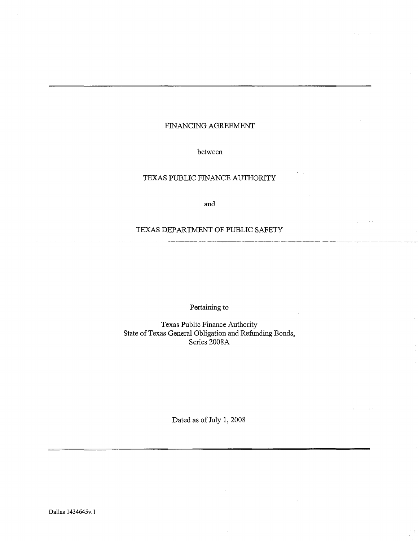## FINANCING AGREEMENT

## between

# TEXAS PUBLIC FINANCE AUTHORITY

and

## TEXAS DEPARTMENT OF PUBLIC SAFETY

Pertaining to

Texas Public Finance Authority State of Texas General Obligation and Refunding Bonds, Series 2008A

Dated as of July 1, 2008

Dallas 1434645v.l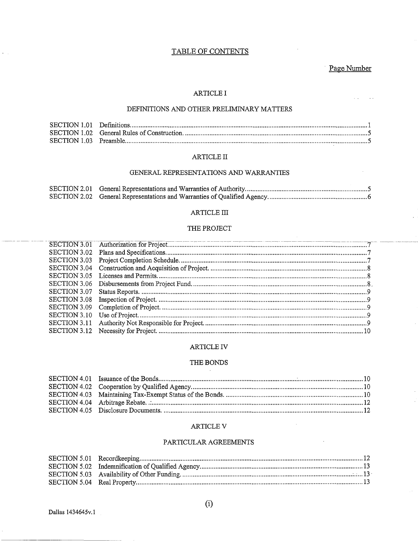# TABLE OF CONTENTS

# Page Number

 $\sim$   $\sim$ 

 $\sim$  .

## **ARTICLE I**

## DEFINITIONS AND OTHER PRELIMINARY MATTERS

### ARTICLE II

## GENERAL REPRESENTATIONS AND WARRANTIES

#### $\operatorname{ARTICLE}$  III

#### THE PROJECT

| SECTION 3.02 |  |
|--------------|--|
| SECTION 3.03 |  |
| SECTION 3.04 |  |
| SECTION 3.05 |  |
| SECTION 3.06 |  |
| SECTION 3.07 |  |
| SECTION 3.08 |  |
| SECTION 3.09 |  |
| SECTION 3.10 |  |
| SECTION 3.11 |  |
| SECTION 3.12 |  |

#### ARTICLE IV

#### THE BONDS  $\sim$

#### ARTICLE V

## PARTICULAR AGREEMENTS

 $\alpha = 1$ 

 $(i)$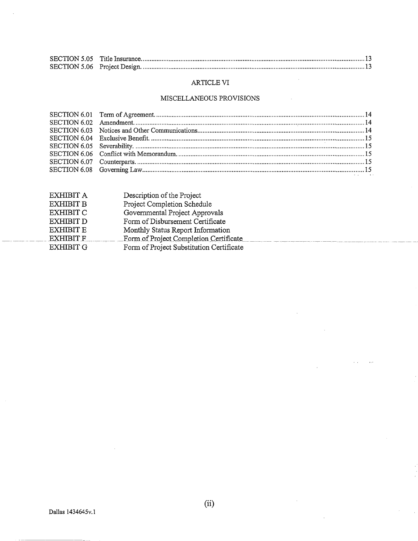# ARTICLE VI

## MISCELLANEOUS PROVISIONS

| EXHIBIT A        | Description of the Project               |
|------------------|------------------------------------------|
| EXHIBIT B        | Project Completion Schedule              |
| EXHIBIT C        | Governmental Project Approvals           |
| EXHIBIT D        | Form of Disbursement Certificate         |
| EXHIBIT E        | Monthly Status Report Information        |
| <b>EXHIBIT F</b> | Form of Project Completion Certificate   |
| EXHIBIT G        | Form of Project Substitution Certificate |
|                  |                                          |

 $\ddot{\phantom{a}}$ 

 $\mathcal{L}_{\mathcal{A}}$ 

 $\mathbb{R}^{\mathbb{Z}}$ 

 $\ddotsc$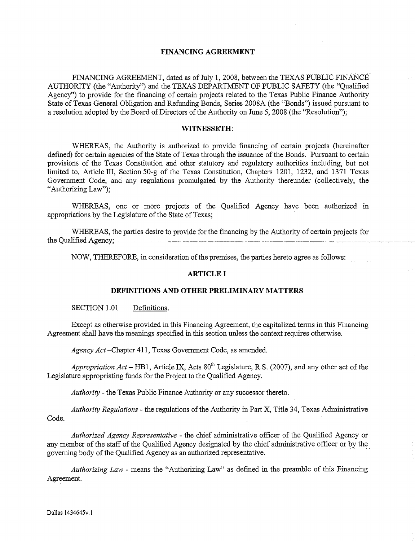## **FINANCING AGREEMENT**

FINANCING AGREEMENT, dated as of July 1, 2008, between the TEXAS PUBLIC FINANCE AUTHORITY (the "Authority") and the TEXAS DEPARTMENT OF PUBLIC SAFETY (the "Qualified Agency") to provide for the fmancing of certain projects related to the Texas Public Finance Authority State of Texas General Obligation and Refunding Bonds, Series 2008A (the "Bonds") issued pursuant to a resolution adopted by the Board of Directors of the Authority on June 5, 2008 (the "Resolution");

#### **WITNESSETH:**

WHEREAS, the Authority is authorized to provide financing of certain projects (hereinafter defmed) for certain agencies of the State of Texas through the issuance of the Bonds. Pursuant to certain provisions of the Texas Constitution and other statutory and regulatory authorities including, but not limited to, Article III, Section 50-g of the Texas Constitution, Chapters 1201, 1232, and 1371 Texas Government Code, and any regulations promulgated by the Authority thereunder (collectively, the "Authorizing Law");

WHEREAS, one or more projects of the Qualified Agency have been authorized in appropriations by the Legislature of the State of Texas;

WHEREAS, the parties desire to provide for the financing by the Authority of certain projects for - --- - - -- --theQualified-Agencyf ------- - - - --- ------- ---- --- -- - -- --- -- ------- - ·--- -------

NOW, THEREFORE, in consideration of the premises, the parties hereto agree as follows:

## **ARTICLE I**

#### **DEFINITIONS AND OTHER PRELIMINARY MATTERS**

SECTION 1.01 Definitions.

Except as otherwise provided in this Financing Agreement, the capitalized terms in this Financing Agreement shall have the meanings specified in this section unless the context requires otherwise.

*Agency Act* -Chapter 411, Texas Government Code, as amended.

Appropriation Act – HB1, Article IX, Acts 80<sup>th</sup> Legislature, R.S. (2007), and any other act of the Legislature appropriating funds for the Project to the Qualified Agency.

*Authority* - the Texas Public Finance Authority or any successor thereto.

*Authority Regulations* - the regulations of the Authority in Part X, Title 34, Texas Administrative Code.

*Authorized Agency Representative* - the chief administrative officer of the Qualified Agency or any member of the staff of the Qualified Agency designated by the chief administrative officer or by the governing body of the Qualified Agency as an authorized representative.

*Authorizing Law* - means the "Authorizing Law" as defmed in the preamble of this Financing Agreement.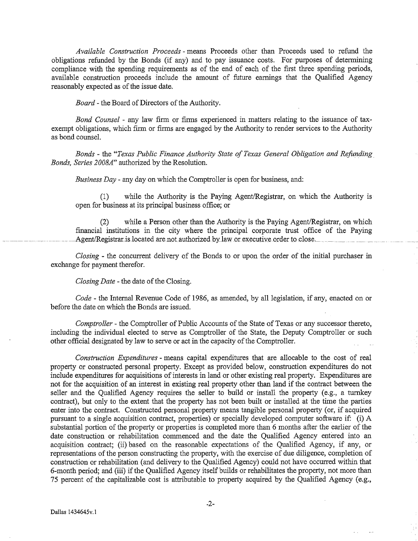*Available Construction Proceeds* - means Proceeds other than Proceeds used to refund the obligations refunded by the Bonds (if any) and to pay issuance costs. For purposes of determining compliance with the spending requirements as of the end of each of the first three spending periods, available construction proceeds include the amount of future earnings that the Qualified Agency reasonably expected as of the issue date.

*Board-* the Board of Directors of the Authority.

*Bond Counsel* - any law firm or firms experienced in matters relating to the issuance of taxexempt obligations, which firm or firms are engaged by the Authority to render services to the Authority as bond counsel.

*Bonds* - the *"Texas Public Finance Authority State of Texas General Obligation and Refunding. Bonds, Series 2008A"* authorized by the Resolution.

*Business Day* - any day on which the Comptroller is open for business, and:

(1) while the Authority is the Paying Agent/Registrar, on which the Authority is open for business at its principal business office; or

(2) while a Person other than the Authority is the Paying Agent/Registrar, on which financial institutions in the city where the principal corporate trust office of the Paying Agent/Registrar is located are not authorized by law or executive order to close.

*Closing* - the concurrent delivery of the Bonds to or upon the order of the initial purchaser in exchange for payment therefor.

*Closing Date* - the date of the Closing.

*Code-* the Internal Revenue Code of 1986, as amended, by all legislation, if any, enacted on or before the date on which the Bonds are issued.

*Comptroller* - the Comptroller of Public Accounts of the State of Texas or any successor thereto, including the individual elected to serve as Comptroller of the State, the Deputy Comptroller or such other official designated by law to serve or act in the capacity of the Comptroller.

*Construction Expenditures* - means capital expenditures that are allocable to the cost of real property or constructed personal property. Except as provided below, construction expenditures do not include expenditures for acquisitions of interests in land or other existing real property. Expenditures are not for the acquisition of an interest in existing real property other than land if the contract between the seller and the Qualified Agency requires the seller to build or install the property (e.g., a turnkey contract), but only to the extent that the property has not been built or installed at the time the parties enter into the contract. Constructed personal property means tangible personal property (or, if acquired pursuant to a single acquisition contract, properties) or specially developed computer software if: (i) A substantial portion of the property or properties is completed more than 6 months after the earlier of the date construction or rehabilitation commenced and the date the Qualified Agency entered into an acquisition contract; (ii) based on the reasonable expectations of the Qualified Agency, if any, or representations of the person constructing the property, with the exercise of due diligence, completion of construction or rehabilitation (and delivery to the Qualified Agency) could not have occurred within that 6-month period; and (iii) if the Qualified Agency itself builds or rehabilitates the property, not more than 75 percent of the capitalizable cost is attributable to property acquired by the Qualified Agency (e.g.,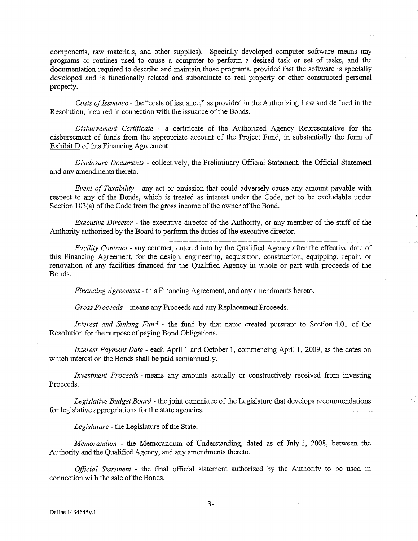components, raw materials, and other supplies). Specially developed computer software means any programs or routines used to cause a computer to perform a desired task or set of tasks, and the documentation required to describe and maintain those programs, provided that the software is specially developed and is functionally related and subordinate to real property or other constructed personal property.

*Costs of Issuance* - the "costs of issuance," as provided in the Authorizing Law and defined in the Resolution, incurred in connection with the issuance of the Bonds.

*Disbursement Certificate* - a certificate of the Authorized Agency Representative for the disbursement of funds from the appropriate account of the Project Fund, in substantially the form of Exhibit D of this Financing Agreement.

*Disclosure Documents* - collectively, the Preliminary Official Statement, the Official Statement and any amendments thereto.

*Event of Taxability* - any act or omission that could adversely cause any amount payable with respect to any of the Bonds, which is treated as interest under the Code, not to be excludable under Section 103(a) of the Code from the gross income of the owner of the Bond.

*Executive Director* - the executive director of the Authority, or any member of the staff of the. Authority authorized by the Board to perform the duties of the executive director.

*Facility Contract* - any contract, entered into by the Qualified Agency after the effective date of this Financing Agreement, for the design, engineering, acquisition, construction, equipping, repair, or renovation of any facilities financed for the Qualified Agency in whole or part with proceeds of the Bonds.

*Financing Agreement-* this Financing Agreement, and any amendments hereto.

*Gross Proceeds-* means any Proceeds and any Replacement Proceeds.

*Interest and Sinking Fund* - the fund by that name created pursuant to Section 4.01 of the Resolution for the purpose of paying Bond Obligations.

*Interest Payment Date* - each April 1 and October 1, commencing April 1, 2009, as the dates on which interest on the Bonds shall be paid semiannually.

*Investment Proceeds* - means any amounts actually or constructively received from investing Proceeds.

*Legislative Budget Board-* the joint committee of the Legislature that develops recommendations for legislative appropriations for the state agencies.

*Legislature-* the Legislature of the State.

*Memorandum* - the Memorandum of Understanding, dated as of July 1, 2008, between the Authority and the Qualified Agency, and any amendments thereto.

*Official Statement* - the final official statement authorized by the Authority to be used m connection with the sale of the Bonds.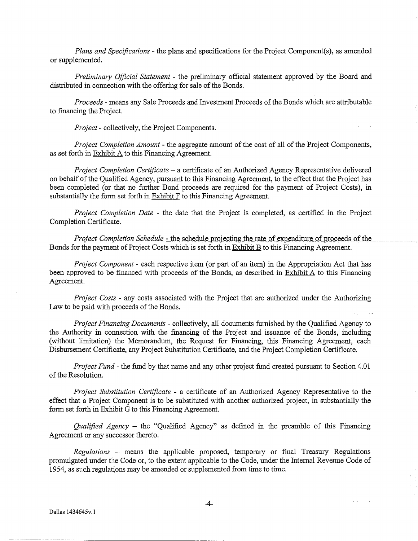*Plans and Specifications-* the plans and specifications for the Project Component(s), as amended or supplemented.

*Preliminary Official Statement* - the preliminary official statement approved by the Board and distributed in connection with the offering for sale of the Bonds.

*Proceeds-* means any Sale Proceeds and Investment Proceeds of the Bonds which are attributable to financing the Project.

*Project-* collectively, the Project Components.

*Project Completion Amount-* the aggregate amount of the cost of all of the Project Components, as set forth in Exhibit A to this Financing Agreement.

*Project Completion Certificate* - a certificate of an Authorized Agency Representative delivered on behalf of the Qualified Agency, pursuant to this Financing Agreement, to the effect that the Project has been completed (or that no further Bond proceeds are required for the payment of Project Costs), in substantially the form set forth in Exhibit F to this Financing Agreement.

*Project Completion Date* - the date that the Project is completed, as certified in the Project Completion Certificate.

Project Completion Schedule - the schedule projecting the rate of expenditure of proceeds of the Bonds for the payment of Project Costs which is set forth in Exhibit B to this Financing Agreement.

*Project Component* - each respective item (or part of an item) in the Appropriation Act that has been approved to be financed with proceeds of the Bonds, as described in Exhibit A to this Financing Agreement.

*Project Costs* - any costs associated with the Project that are authorized under the Authorizing Law to be paid with proceeds of the Bonds.

*Project Financing Documents-* collectively, all documents furnished by the Qualified Agency to the Authority in connection with the fmancing of the Project and issuance of the Bonds, including (without limitation) the Memorandum, the Request for Financing, this Financing Agreement, each Disbursement Certificate, any Project Substitution Certificate, and the Project Completion Certificate.

*Project Fund-* the fund by that name and any other project fund created pursuant to Section 4.01 of the Resolution.

*Project Substitution Certificate* - a certificate of an Authorized Agency Representative to the effect that a Project Component is to be substituted with another authorized project, in substantially the form set forth in Exhibit G to this Financing Agreement.

*Qualified Agency* - the "Qualified Agency" as defined in the preamble of this Financing Agreement or any successor thereto.

*Regulations* - means the applicable proposed, temporary or fmal- Treasury Regulations promulgated under the Code or, to the extent applicable to the Code, under the Internal Revenue Code of 1954, as such regulations may be amended or supplemented from time to time.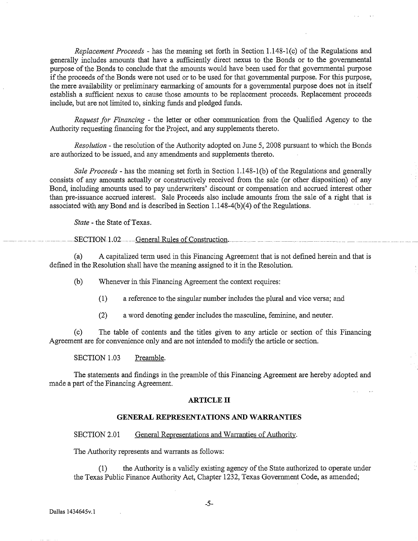*Replacement Proceeds* -has the meaning set forth in Section 1.148-l(c) of the Regulations and generally includes amounts that have a sufficiently direct nexus to the Bonds or to the governmental purpose of the Bonds to conclude that the amounts would have been used for that governmental purpose if the proceeds of the Bonds were not used or to be used for that governmental purpose. For this purpose, the mere availability or preliminary earmarking of amounts for a governmental purpose does not in itself establish a sufficient nexus to cause those amounts to be replacement proceeds. Replacement proceeds include, but are not limited to, sinking funds and pledged funds.

*Request for Financing* - the letter or other communication from the Qualified Agency to the Authority requesting financing for the Project, and any supplements thereto.

*Resolution-* the resolution of the Authority adopted on June 5, 2008 pursuant to which the Bonds are authorized to be issued, and any amendments and supplements thereto.

*Sale Proceeds-* has the meaning set forth in Section 1.148-1(b) of the Regulations and generally consists of any amounts actually or constructively received from the sale (or other disposition) of any Bond, including amounts used to pay underwriters' discount or compensation and accrued interest other than pre-issuance accrued interest. Sale Proceeds also include amounts from the sale of a right that is associated with any Bond and is described in Section 1.148-4(b)(4) of the Regulations.

*State-* the State of Texas.

SECTION<sub>-1.02</sub> General Rules of Construction.

(a) A capitalized term used in this Financing Agreement that is not defined herein and that is defmed in the Resolution shall have the meaning assigned to it in the Resolution.

(b) Whenever in this Financing Agreement the context requires:

- (1) a reference to the singular number includes the plural and vice versa; and
- (2) a word denoting gender includes the masculine, feminine, and neuter.

(c) The table of contents and the titles given to any article or section of this Financing Agreement are for convenience only and are not intended to modify the article or section.

SECTION 1.03 Preamble.

The statements and findings in the preamble of this Financing Agreement are hereby adopted and made a part of the Financing Agreement.

#### **ARTICLE II**

#### **GENERAL REPRESENTATIONS AND WARRANTIES**

#### SECTION 2.01 General Representations and Warranties of Authority.

The Authority represents and warrants as follows:

(1) the Authority is a validly existing agency of the State authorized to operate under the Texas Public Finance Authority Act, Chapter 1232, Texas Government Code, as amended;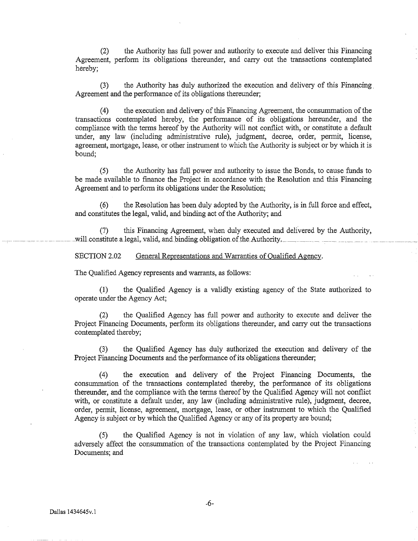(2) the Authority has full power and authority to execute and deliver this Financing Agreement, perform its obligations thereunder, and carry out the transactions contemplated hereby;

(3) the Authority has duly authorized the execution and delivery of this Financing. Agreement and the performance of its obligations thereunder;

(4) the execution and delivery of this Financing Agreement, the consummation of the transactions contemplated hereby, the performance of its obligations hereunder, and the compliance with the terms hereof by the Authority will not conflict with, or constitute a default under, any law (including administrative rule), judgment, decree, order, permit, license, agreement, mortgage, lease, or other instrument to which the Authority is subject or by which it is bound;

(5) the Authority has full power and authority to issue the Bonds, to cause funds to be made available to fmance the Project in accordance with the Resolution and this Financing Agreement and to perform its obligations under the Resolution;

(6) the Resolution has been duly adopted by the Authority, is in full force and effect, and constitutes the legal, valid, and binding act of the Authority; and

(7) this Financing Agreement, when duly executed and delivered by the Authority, will constitute a legal, valid, and binding obligation of the Authority.

SECTION 2.02 General Representations and Warranties of Qualified Agency.

The Qualified Agency represents and warrants, as follows:

(1) the Qualified Agency is a validly existing agency of the State authorized to operate under the Agency Act;

(2) the Qualified Agency has full power and authority to execute and deliver the Project Financing Documents, perform its obligations thereunder, and carry out the transactions contemplated thereby;

(3) the Qualified Agency has duly authorized the execution and delivery of the Project Financing Documents and the performance of its obligations thereunder;

(4) the execution and delivery of the Project Financing Documents, the consummation of the transactions contemplated thereby, the performance of its obligations thereunder, and the compliance with the terms thereof by the Qualified Agency will not conflict with, or constitute a default under, any law (including administrative rule), judgment, decree, order, permit, license, agreement, mortgage, lease, or other instrument to which the Qualified Agency is subject or by which the Qualified Agency or any of its property are bound;

(5) the Qualified Agency is not in violation of any law, which violation could adversely affect the consummation of the transactions contemplated by the Project Financing Documents; and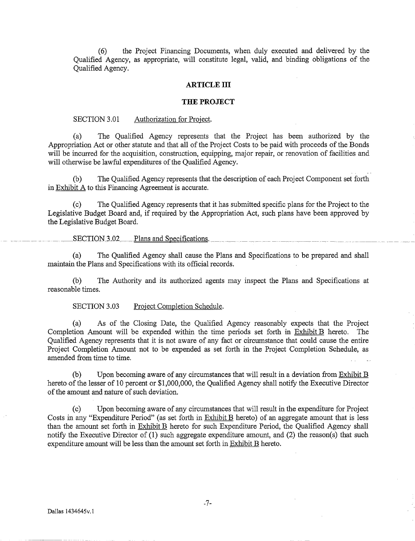(6) the Project Financing Documents, when duly executed and delivered by the Qualified Agency, as appropriate, will constitute legal, valid, and binding obligations of the Qualified Agency.

#### **ARTICLE III**

#### **THE PROJECT**

#### SECTION 3.01 Authorization for Project.

(a) The Qualified Agency represents that the Project has been authorized by the Appropriation Act or other statute and that all of the Project Costs to be paid with proceeds of the Bonds will be incurred for the acquisition, construction, equipping, major repair, or renovation of facilities and will otherwise be lawful expenditures of the Qualified Agency.

(b) The Qualified Agency represents that the description of each Project Component set forth in Exhibit A to this Financing Agreement is accurate.

. .

(c) The Qualified Agency represents that it has submitted specific plans for the Project to the Legislative Budget Board and, if required by the Appropriation Act, such plans have been approved by the Legislative Budget Board.

SECTION 3.02 Plans and Specifications.

(a) The Qualified Agency shall cause the Plans and Specifications to be prepared and shall maintain the Plans and Specifications with its official records.

(b) The Authority and its authorized agents may inspect the Plans and Specifications at reasonable times.

SECTION 3.03 Project Completion Schedule.

(a) As of the Closing Date, the Qualified Agency reasonably expects that the Project Completion Amount will be expended within the time periods set forth in Exhibit B hereto. The Qualified Agency represents that it is not aware of any fact or circumstance that could cause the entire Project Completion Amount not to be expended as set forth in the Project Completion Schedule, as amended from time to time.

(b) Upon becoming aware of any circumstances that will result in a deviation from Exhibit  $\overline{B}$ hereto of the lesser of 10 percent or \$1,000,000, the Qualified Agency shall notify the Executive Director of the amount and nature of such deviation.

(c) Upon becoming aware of any circumstances that will result in the expenditure for Project Costs in any "Expenditure Period" (as set forth in Exhibit B hereto) of an aggregate amount that is less than the amount set forth in Exhibit B hereto for such Expenditure Period, the Qualified Agency shall notify the Executive Director of (1) such aggregate expenditure amount, and (2) the reason(s) that such expenditure amount will be less than the amount set forth in Exhibit B hereto.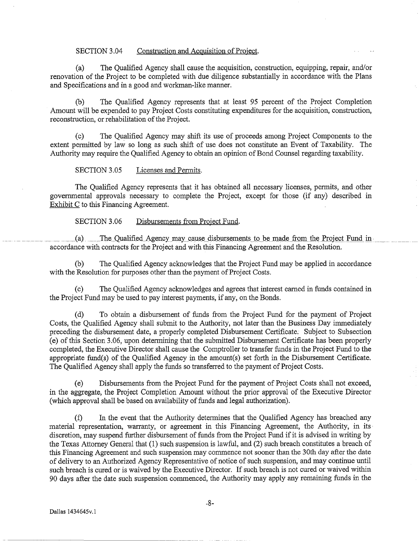### SECTION 3.04 Construction and Acquisition of Project.

(a) The Qualified Agency shall cause the acquisition, construction, equipping, repair, and/or renovation of the Project to be completed with due diligence substantially in accordance with the Plans and Specifications and in a good and workman-like manner.

(b) The Qualified Agency represents that at least 95 percent of the Project Completion Amount will be expended to pay Project Costs constituting expenditures for the acquisition, construction, reconstruction, or rehabilitation of the Project.

(c) The Qualified Agency may shift its use of proceeds among Project Components to the extent permitted by law so long as such shift of use does not constitute an Event of Taxability. The Authority may require the Qualified Agency to obtain an opinion of Bond Counsel regarding taxability.

SECTION 3.05 Licenses and Permits.

The Qualified Agency represents that it has obtained all necessary licenses, permits, and other governmental approvals necessary to complete the Project, except for those (if any) described in Exhibit C to this Financing Agreement.

SECTION 3.06 Disbursements from Project Fund.

(a) The Qualified Agency may cause disbursements to be made from the Project Fund in accordance with contracts for the Project and with this Financing Agreement and the Resolution.

(b) The Qualified Agency acknowledges that the Project Fund may be applied in accordance with the Resolution for purposes other than the payment of Project Costs.

(c) The Qualified Agency acknowledges and agrees that interest earned in funds contained in the Project Fund may be used to pay interest payments, if any, on the Bonds.

(d) To obtain a disbursement of funds from the Project Fund for the payment of Project Costs, the Qualified Agency shall submit to the Authority, not later than the Business Day immediately preceding the disbursement date, a properly completed Disbursement Certificate. Subject to Subsection (e) of this Section 3.06, upon determining that the submitted Disbursement Certificate has been properly completed, the Executive Director shall cause the Comptroller to transfer funds in the Project Fund to the appropriate fund(s) of the Qualified Agency in the amount(s) set forth in the Disbursement Certificate. The Qualified Agency shall apply the funds so transferred to the payment of Project Costs.

(e) Disbursements from the Project Fund for the payment of Project Costs shall not exceed, in the aggregate, the Project Completion Amount without the prior approval of the Executive Director (which approval shall be based on availability of funds and legal authorization).

(f) In the event that the Authority determines that the Qualified Agency has breached any material representation, warranty, or agreement in this Financing Agreement, the Authority, in its· discretion, may suspend further disbursement of funds from the Project Fund if it is advised in writing by the Texas Attorney General that (1) such suspension is lawful, and (2) such breach constitutes a breach of this Financing Agreement and such suspension may commence not sooner than the 30th day after the date of delivery to an Authorized Agency Representative of notice of such suspension, and may continue until such breach is cured or is waived by the Executive Director. If such breach is not cured or waived within 90 days after the date such suspension commenced, the Authority may apply any remaining funds in the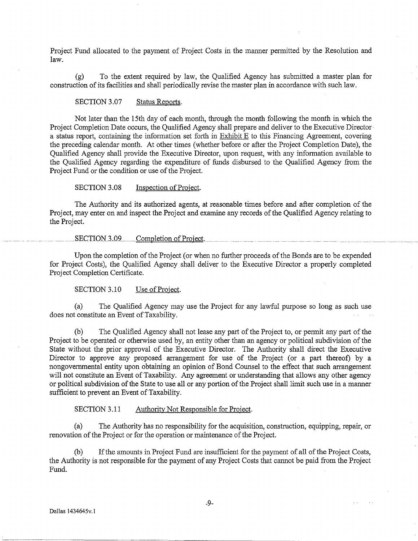Project Fund allocated to the payment of Project Costs in the manner permitted by the Resolution and law.

(g) To the extent required by law, the Qualified Agency has submitted a master plan for construction of its facilities and shall periodically revise the master plan in accordance with such law.

SECTION 3.07 Status Reports.

Not later than the 15th day of each month, through the month following the month in which the Project Completion Date occurs, the Qualified Agency shall prepare and deliver to the Executive Director· a status report, containing the information set forth in Exhibit  $E$  to this Financing Agreement, covering the preceding calendar month. At other times (whether before or after the Project Completion Date), the Qualified Agency shall provide the Executive Director, upon request, with any information available to the Qualified Agency regarding the expenditure of funds disbursed to the Qualified Agency from the Project Fund or the condition or use of the Project.

SECTION 3.08 Inspection of Project.

The Authority and its authorized agents, at reasonable times before and after completion of the Project, may enter on and inspect the Project and examine any records of the Qualified Agency relating to the Project.

SECTION 3.09 Completion of Project.

Upon the completion of the Project (or when no further proceeds of the Bonds are to be expended for Project Costs), the Qualified Agency shall deliver to the Executive Director a properly completed Project Completion Certificate.

SECTION 3.10 Use of Project.

(a) The Qualified Agency may use the Project for any lawful purpose so long as such use does not constitute an Event of Taxability.

(b) The Qualified Agency shall not lease any part of the Project to, or permit any part of the Project to be operated or otherwise used by, an entity other than an agency or political subdivision of the State without the prior approval of the Executive Director. The Authority shall direct the Executive Director to approve any proposed arrangement for use of the Project (or a part thereof) by a nongovernmental entity upon obtaining an opinion of Bond Counsel to the effect that such arrangement will not constitute an Event of Taxability. Any agreement or understanding that allows any other agency or political subdivision of the State to use all or any portion of the Project shall limit such use in a manner sufficient to prevent an Event of Taxability.

SECTION 3.11 Authority Not Responsible for Project.

(a) The Authority has no responsibility for the acquisition, construction, equipping, repair, or renovation of the Project or for the operation or maintenance of the Project.

(b) If the amounts in Project Fund are insufficient for the payment of all of the Project Costs, the Authority is not responsible for the payment of any Project Costs that cannot be paid from the Project Fund.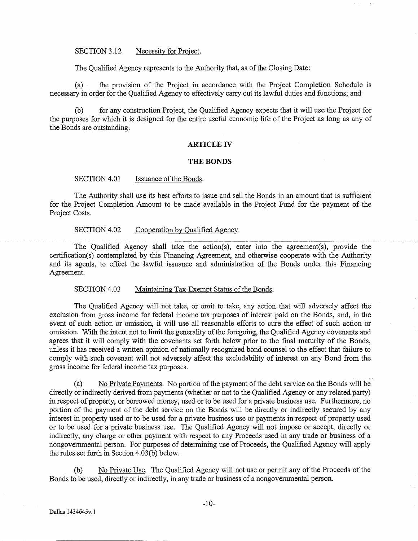#### SECTION 3.12 Necessity for Project.

The Qualified Agency represents to the Authority that, as of the Closing Date:

(a) the provision of the Project in accordance with the Project Completion Schedule is necessary in order for the Qualified Agency to effectively carry out its lawful duties and functions; and

(b) for any construction Project, the Qualified Agency expects that it will use the Project for the purposes for which it is designed for the entire useful economic life of the Project as long as any of the Bonds are outstanding.

## **ARTICLE** IV

#### **THE BONDS**

SECTION 4.01 Issuance of the Bonds.

The Authority shall use its best efforts to issue and sell the Bonds in an amount that is sufficient. for the Project Completion Amount to be made available in the Project Fund for the payment of the Project Costs.

SECTION 4.02 Cooperation by Qualified Agency.

--- --------- --------------------------- ---- ----------- -~ ----- -- ------ ----------------------- -------- ----- -- The Qualified Agency shall take the action(s), enter into the agreement(s), provide the certification(s) contemplated by this Financing Agreement, and otherwise cooperate with the Authority and its agents, to effect the lawful issuance and administration of the Bonds under this Financing Agreement.

SECTION 4.03 Maintaining Tax-Exempt Status of the Bonds.

The Qualified Agency will not take, or omit to take, any action that will adversely affect the exclusion from gross income for federal income tax purposes of interest paid on the Bonds, and, in the event of such action or omission, it will use all reasonable efforts to cure the effect of such action or omission. With the intent not to limit the generality of the foregoing, the Qualified Agency covenants and agrees that it will comply with the covenants set forth below prior to the final maturity of the Bonds, unless it has received a written opinion of nationally recognized bond counsel to the effect that failure to comply with such covenant will not adversely affect the excludability of interest on any Bond from the gross income for federal income tax purposes.

(a) No Private Pavments. No portion of the payment of the debt service on the Bonds will be directly or indirectly derived from payments (whether or not to the Qualified Agency or any related party) in respect of property, or borrowed money, used or to be used for a private business use. Furthermore, no portion of the payment of the debt service on the Bonds will be directly or indirectly secured by any interest in property used or to be used for a private business use or payments in respect of property used or to be used for a private business use. The Qualified Agency will not impose or accept, directly or indirectly, any charge or other payment with respect to any Proceeds used in any trade or business of a nongovernmental person. For purposes of determining use of Proceeds, the Qualified Agency will apply the rules set forth in Section 4.03(b) below.

(b) No Private Use. The Qualified Agency will not use or permit any of the Proceeds of the Bonds to be used, directly or indirectly, in any trade or business of a nongovernmental person.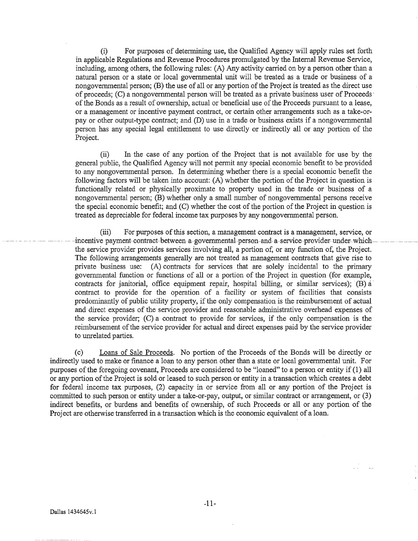(i) For purposes of determining use, the Qualified Agency will apply rules set forth in applicable Regulations and Revenue Procedures promulgated by the Internal Revenue Service, including, among others, the following rules: (A) Any activity carried on by a person other than a natural person or a state or local governmental unit will be treated as a trade or business of a nongovernmental person; (B) the use of all or any portion of the Project is treated as the direct use of proceeds; (C) a nongovernmental person will be treated as a private business user of Proceeds· of the Bonds as a result of ownership, actual or beneficial use of the Proceeds pursuant to a lease, or a management or incentive payment contract, or certain other arrangements such as a take-orpay or other output-type contract; and (D) use in a trade or business exists if a nongovernmental person has any special legal entitlement to use directly or indirectly all or any portion of the Project.

(ii) In the case of any portion of the Project that is not available for use by the general public, the Qualified Agency will not permit any special economic benefit to be provided to any nongovernmental person. In determining whether there is a special economic benefit the following factors will be taken into account: (A) whether the portion of the Project in question is functionally related or physically proximate to property used in the trade or business of a nongovernmental person; (B) whether only a small number of nongovernmental persons receive the special economic benefit; and (C) whether the cost of the portion of the Project in question is treated as depreciable for federal income tax purposes by any nongovennnental person.

(iii) For purposes of this section, a management contract is a management, service, or incentive payment-contract-between a governmental-person-and-a-service-provider-under-whichthe service provider provides services involving all, a portion of, or any function of, the Project. The following arrangements generally are not treated as management contracts that give rise to private business use: (A) contracts for services that are solely incidental to the primary governmental function or functions of all or a portion of the Project in question (for example, contracts for janitorial, office equipment repair, hospital billing, or similar services); (B) a contract to provide for the operation of a facility or system of facilities that consists predominantly of public utility property, if the only compensation is the reimbursement of actual and direct expenses of the service provider and reasonable administrative overhead expenses of the service provider; (C) a contract to provide for services, if the only compensation is the reimbursement of the service provider for actual and direct expenses paid by the service provider to unrelated parties.

(c) Loans of Sale Proceeds. No portion of the Proceeds of the Bonds will be directly or indirectly used to make or finance a loan to any person other than a state or local governmental unit. For purposes of the foregoing covenant, Proceeds are considered to be "loaned" to a person or entity if (1) all or any portion of the Project is sold or leased to such person or entity in a transaction which creates a debt for federal income tax purposes, (2) capacity in or service from all or any portion of the Project is committed to such person or entity under a take-or-pay, output, or similar contract or arrangement, or (3) indirect benefits, or burdens and benefits of ownership, of such Proceeds or all or any portion of the Project are otherwise transferred in a transaction which is the economic equivalent of a loan.

 $\mathcal{L}$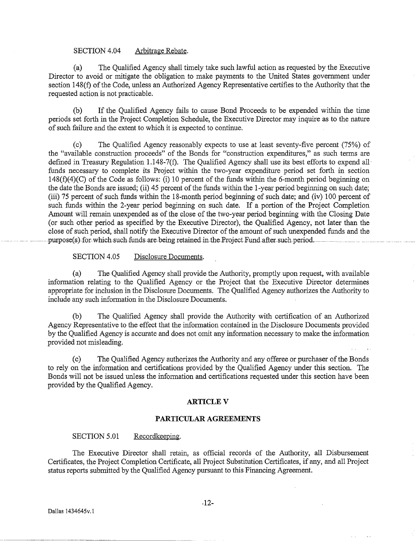#### SECTION 4.04 Arbitrage Rebate.

(a) The Qualified Agency shall timely take such lawful action as requested by the Executive Director to avoid or mitigate the obligation to make payments to the United States government under section 148(f) of the Code, unless an Authorized Agency Representative certifies to the Authority that the requested action is not practicable.

(b) If the Qualified Agency fails to cause Bond Proceeds to be expended within the time periods set forth in the Project Completion Schedule, the Executive Director may inquire as to the nature of such failure and the extent to which it is expected to continue.

(c) The Qualified Agency reasonably expects to use at least seventy-five percent (75%) of the "available construction proceeds" of the Bonds for "construction expenditures," as such terms are defined in Treasury Regulation 1.148-7(f). The Qualified Agency shall use its best efforts to expend all funds necessary to complete its Project within the two-year expenditure period set forth in section 148(f)(4)(C) of the Code as follows: (i) 10 percent of the funds within the 6-month period beginning on the date the Bonds are issued; (ii) 45 percent of the funds within the 1-year period beginning on such date; (iii) 75 percent of such funds within the 18-month period beginning of such date; and (iv) 100 percent of such funds within the 2-year period beginning on such date. If a portion of the Project Completion Amount will remain unexpended as of the close of the two-year period beginning with the Closing Date (or such other period as specified by the Executive Director), the Qualified Agency, not later than the close of such period, shall notify the Executive Director of the amount of such unexpended funds and the purpose(s)-for-which-such-funds-are-being retained in-the-Project Fund-after-such period.

SECTION 4.05 Disclosure Documents.

(a) The Qualified Agency shall provide the Authority, promptly upon request, with available information relating to the Qualified Agency or the Project that the Executive Director determines appropriate for inclusion in the Disclosure Documents. The Qualified Agency authorizes the Authority to include any such information in the Disclosure Documents.

(b) The Qualified Agency shall provide the Authority with certification of an Authorized Agency Representative to the effect that the information contained in the Disclosure Documents provided by the Qualified Agency is accurate and does not omit any information necessary to make the information provided not misleading.

(c) The Qualified Agency authorizes the Authority and any offeree or purchaser of the Bonds to rely on the information and certifications provided by the Qualified Agency under this section. The Bonds will not be issued unless the information and certifications requested under this section have been provided by the Qualified Agency.

### **ARTICLEV**

#### **PARTICULAR AGREEMENTS**

#### SECTION 5.01 Recordkeeping.

The Executive Director shall retain, as official records of the Authority, all Disbursement Certificates, the Project Completion Certificate, all Project Substitution Certificates, if any, and all Project status reports submitted by the Qualified Agency pursuant to this Financing Agreement.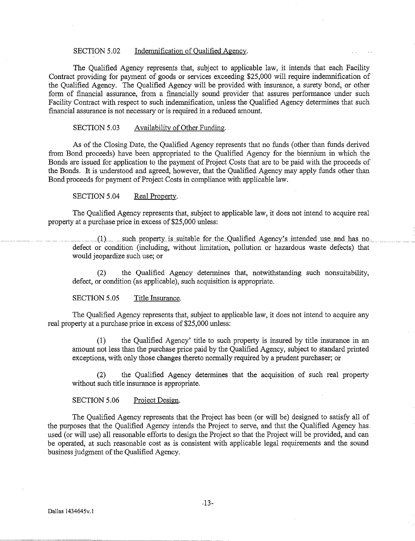#### SECTION 5.02 Indemnification of Qualified Agency.

The Qualified Agency represents that, subject to applicable law, it intends that each Facility Contract providing for payment of goods or services exceeding \$25,000 will require indemnification of the Qualified Agency. The Qualified Agency will be provided with insurance, a surety bond, or other form of financial assurance, from a financially sound provider that assures performance under such Facility Contract with respect to such indemnification, unless the Qualified Agency determines that such financial assurance is not necessary or is required in a reduced amount.

#### SECTION 5.03 Availability of Other Funding.

As of the Closing Date, the Qualified Agency represents that no funds (other than funds derived from Bond proceeds) have been appropriated to the Qualified Agency for the biennium in which the Bonds are issued for application to the payment of Project Costs that are to be paid with the proceeds of the Bonds. It is understood and agreed, however, that the Qualified Agency may apply funds other than Bond proceeds for payment of Project Costs in compliance with applicable law.

## SECTION 5.04 Real Property.

The Qualified Agency represents that, subject to applicable law, it does not intend to acquire real property at a purchase price in excess of\$25,000 unless:

 $(1)$  such property is suitable for the Qualified Agency's intended use and has no. defect or condition (including, without limitation, pollution or hazardous waste defects) that would jeopardize such use; or

(2) the Qualified Agency determines that, notwithstanding such nonsuitability, defect, or condition (as applicable), such acquisition is appropriate.

#### SECTION 5.05 Title Insurance.

The Qualified Agency represents that, subject to applicable law, it does not intend to acquire any real property at a purchase price in excess of \$25,000 unless:

(1) the Qualified Agency' title to such property is insured by title insurance in an amount not less than the purchase price paid by the Qualified Agency, subject to standard printed exceptions, with only those changes thereto normally required by a prudent purchaser; or

the Qualified Agency determines that the acquisition of such real property without such title insurance is appropriate.

#### SECTION 5.06 Project Design.

The Qualified Agency represents that the Project has been (or will be) designed to satisfy all of the purposes that the Qualified Agency intends the Project to serve, and that the Qualified Agency has .. used (or will use) all reasonable efforts to design the Project so that the Project will be provided, and can be operated, at such reasonable cost as is consistent with applicable legal requirements and the sound business judgment of the Qualified Agency.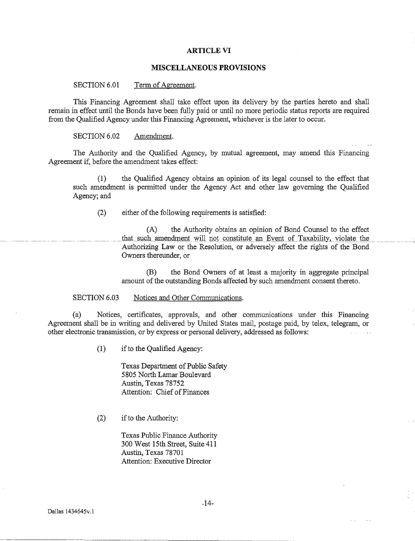#### **ARTICLE VI**

## **MISCELLANEOUS PROVISIONS**

SECTION 6.01 Term of Agreement.

This Financing Agreement shall take effect upon its delivery by the parties hereto and shall remain in effect until the Bonds have been fully paid or until no more periodic status reports are required from the Qualified Agency under this Financing Agreement, whichever is the later to occur.

#### SECTION 6.02 Amendment.

The Authority and the Qualified Agency, by mutual agreement, may amend this Financing Agreement if, before the amendment takes effect:

(1) the Qualified Agency obtains an opinion of its legal counsel to the effect that such amendment is permitted under the Agency Act and other law governing the Qualified Agency; and

(2) either of the following requirements is satisfied:

(A) the Authority obtains an opinion of Bond Counsel to the effect that such amendment will not constitute an Event of Taxability, violate the Authorizing Law or the Resolution, or adversely affect the rights of the Bond Owners thereunder, or

(B) the Bond Owners of at least a majority in aggregate principal amount of the outstanding Bonds affected by such amendment consent thereto.

SECTION 6.03 Notices and Other Communications.

(a) Notices, certificates, approvals, and other communications under this Financing Agreement shall be in writing and delivered by United States mail, postage paid, by telex, telegram, or other electronic transmission, or by express or personal delivery, addressed as follows:  $\mathbb{Z}^{\mathbb{Z}^2}$ 

(1) if to the Qualified Agency:

Texas Department of Public Safety 5805 North Lamar Boulevard Austin, Texas 78752 Attention: Chief of Finances

(2) if to the Authority:

Texas Public Finance Authority 300 West 15th Street, Suite 411 Austin, Texas 78701 Attention: Executive Director

-14-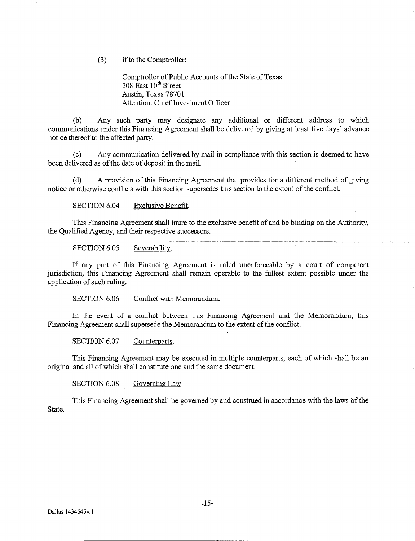(3) if to the Comptroller:

Comptroller of Public Accounts of the State of Texas  $208$  East  $10^{th}$  Street Austin, Texas 78701 Attention: Chief Investment Officer

 $\mathcal{L}^{\pm}$  .

 $\mathbf{A}$ 

(b) Any such party may designate any additional or different address to which communications under this Financing Agreement shall be delivered by giving at least five days' advance notice thereof to the affected party.

(c) Any communication delivered by mail in compliance with this section is deemed to have been delivered as of the date of deposit in the mail.

(d) A provision of this Financing Agreement that provides for a different method of giving notice or otherwise conflicts with this section supersedes this section to the extent of the conflict.

SECTION 6.04 Exclusive Benefit.

This Financing Agreement shall inure to the exclusive benefit of and be binding on the Authority, the Qualified Agency, and their respective successors.

SECTION 6.05 Severability.

If any part of this Financing Agreement is ruled unenforceable by a court of competent jurisdiction, this Financing Agreement shall remain operable to the fullest extent possible under the application of such ruling.

SECTION 6.06 Conflict with Memorandum.

In the event of a conflict between this Financing Agreement and the Memorandum, this Financing Agreement shall supersede the Memorandum to the extent of the conflict.

SECTION 6.07 Counterparts.

This Financing Agreement may be executed in multiple counterparts, each of which shall be an original and all of which shall constitute one and the same document.

SECTION 6.08 Governing Law.

This Financing Agreement shall be governed by and construed in accordance with the laws of the· State.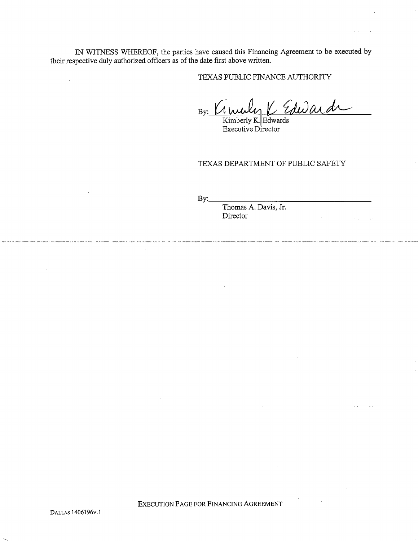IN WITNESS WHEREOF, the parties have caused this Financing Agreement to be executed by their respective duly authorized officers as of the date first above written.

TEXAS PUBLIC FINANCE AUTHORITY

By: Cimuly K Edward

Kimberly K. Edwards Executive Director

TEXAS DEPARTMENT OF PUBLIC SAFETY

 $Bv:$ 

Thomas A. Davis, Jr. Director

EXECUTION PAGE FOR FINANCING AGREEMENT

 $\bar{\mathcal{A}}$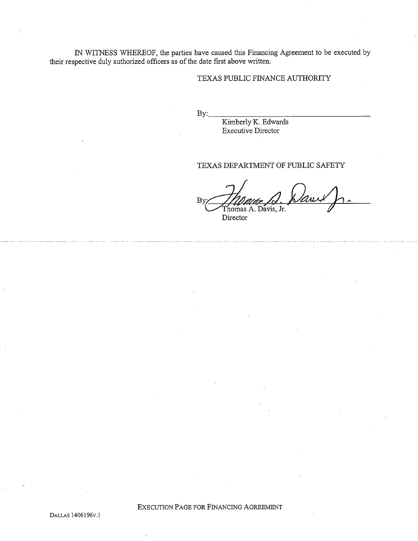IN WITNESS WHEREOF, the parties have caused this Financing Agreement to be executed by their respective duly authorized officers as of the date first above written.

## TEXAS PUBLIC FINANCE AUTHORITY

 $\mathbf{B}$ y:

Kimberly K. Edwards Executive Director

## TEXAS DEPARTMENT OF PUBLIC SAFETY

By· Thomas A. Davis, Jr. David J. Director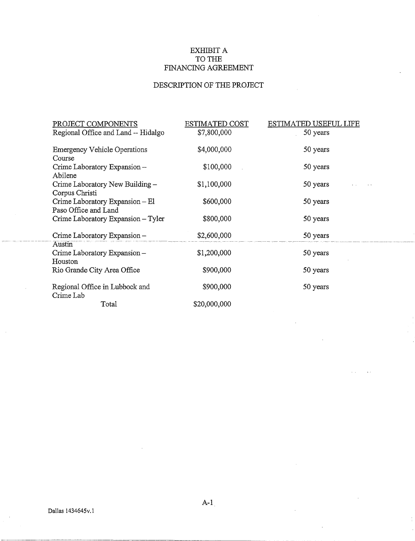# EXHIBIT A TO THE FINANCING AGREEMENT

# DESCRIPTION OF THE PROJECT

| PROJECT COMPONENTS                                      | <b>ESTIMATED COST</b> | <b>ESTIMATED USEFUL LIFE</b> |
|---------------------------------------------------------|-----------------------|------------------------------|
| Regional Office and Land -- Hidalgo                     | \$7,800,000           | 50 years                     |
| <b>Emergency Vehicle Operations</b><br>Course           | \$4,000,000           | 50 years                     |
| Crime Laboratory Expansion -<br>Abilene                 | \$100,000             | 50 years                     |
| Crime Laboratory New Building -<br>Corpus Christi       | \$1,100,000           | 50 years                     |
| Crime Laboratory Expansion – El<br>Paso Office and Land | \$600,000             | 50 years                     |
| Crime Laboratory Expansion - Tyler                      | \$800,000             | 50 years                     |
| Crime Laboratory Expansion -<br>Austin                  | \$2,600,000           | 50 years                     |
| Crime Laboratory Expansion -<br>Houston                 | \$1,200,000           | 50 years                     |
| Rio Grande City Area Office                             | \$900,000             | 50 years                     |
| Regional Office in Lubbock and<br>Crime Lab             | \$900,000             | 50 years                     |
| Total                                                   | \$20,000,000          |                              |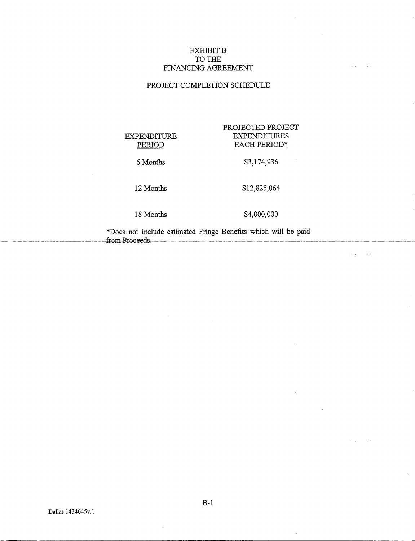## EXHIBIT **B** TO THE FINANCING AGREEMENT

# PROJECT COMPLETION SCHEDULE

# EXPENDITURE PERIOD

## PROJECTED PROJECT EXPENDITURES EACH PERIOD\*

 $\mathbf{r}$ 

 $\sim 10$  $\sim 100$ 

 $\sim 10^7$ 

 $\sim$ 

 $\sim$ 

\$3,174,936

6 Months

#### 12 Months

# \$12,825,064

18 Months

\$4,000,000

\*Does not include estimated Fringe Benefits which will be paid -- --from Froceeds. - - - -- - - -- - - ----- -- ----

B-1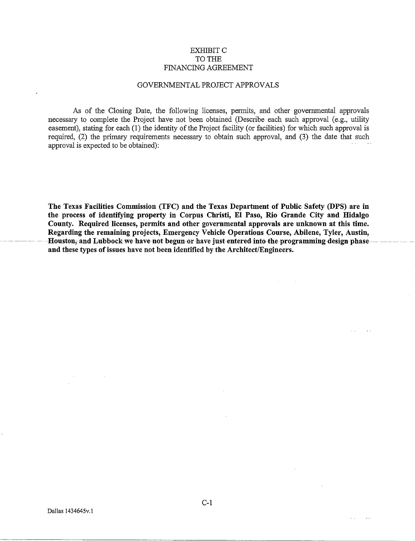## EXHIBITC TO THE FINANCING AGREEMENT

### GOVERNMENTAL PROJECT APPROVALS

As of the Closing Date, the following licenses, permits, and other govermnental approvals necessary to complete the Project have not been obtained (Describe each such approval (e.g., utility easement), stating for each (1) the identity of the Project facility (or facilities) for which such approval is required, (2) the primary requirements necessary to obtain such approval, and (3) the date that such approval is expected to be obtained):

The Texas Facilities Commission (TFC) and the Texas Department of Public Safety (DPS) are in the process of identifying property in Corpus Christi, El Paso, Rio Grande City and Hidalgo County. Required licenses, permits and other governmental approvals are unknown at this time. Regarding the remaining projects, Emergency Vehicle Operations Course, Abilene, Tyler, Austin, Houston, and Lubbock we have not begun-or have just-entered into-the programming-design phaseand these types of issues have not been identified by the Architect/Engineers.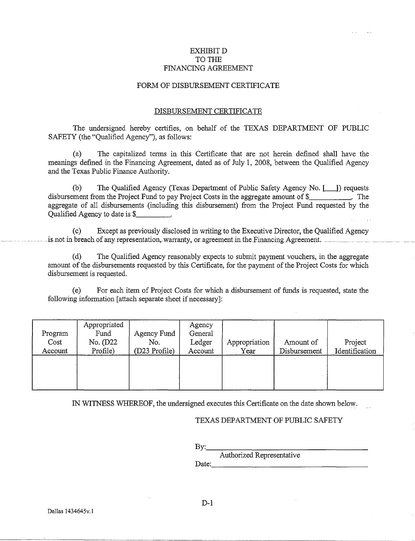## EXHIBITD TO THE FINANCING AGREEMENT

## FORM OF DISBURSEMENT CERTIFICATE

## DISBURSEMENT CERTIFICATE

The undersigned hereby certifies, on behalf of the TEXAS DEPARTMENT OF PUBLIC SAFETY (the "Qualified Agency"), as follows:

(a) The capitalized terms in this Certificate that are not herein defined shall have the meanings defined in the Financing Agreement, dated as of July 1, 2008, between the Qualified Agency and the Texas Public Finance Authority.

(b) The Qualified Agency (Texas Department of Public Safety Agency No. [11]) requests disbursement from the Project Fund to pay Project Costs in the aggregate amount of \$ . The aggregate of all disbursements (including this disbursement) from the Project Fund requested by the Qualified Agency to date is \$

(c) Except as previously disclosed in writing to the Executive Director, the Qualified Agency is not in breach of any representation, warranty, or agreement in the Financing Agreement.  $\Box$ 

(d) The Qualified Agency reasonably expects to submit payment vouchers, in the aggregate amount of the disbursements requested by this Certificate, for the payment of the Project Costs for which disbursement is requested.

(e) For each item of Project Costs for which a disbursement of funds is requested, state the following information [attach separate sheet if necessary]:

| Program<br>Cost<br>Account | Appropriated<br>Fund<br>No. (D22<br>Profile) | Agency Fund<br>No.<br>(D23 Profile) | Agency<br>General<br>Ledger<br>Account | Appropriation<br>Year | Amount of<br>Disbursement | Project<br>Identification |
|----------------------------|----------------------------------------------|-------------------------------------|----------------------------------------|-----------------------|---------------------------|---------------------------|
|                            |                                              |                                     |                                        |                       |                           |                           |

IN WITNESS WHEREOF, the undersigned executes this Certificate on the date shown below.

### TEXAS DEPARTMENT OF PUBLIC SAFETY

By: \_\_\_\_\_\_\_\_\_\_\_\_\_\_\_\_ \_

Authorized Representative Date: \_\_\_\_\_\_\_\_\_\_\_\_\_\_\_\_\_ \_

 $D-1$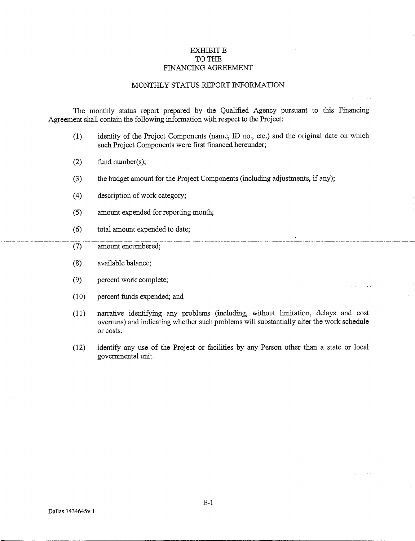## EXHIBIT E TO THE FINANCING AGREEMENT

### MONTHLY STATUS REPORT INFORMATION

The monthly status report prepared by the Qualified Agency pursuant to this Financing Agreement shall contain the following information with respect to the Project:

- (1) identity of the Project Components (name, ID no., etc.) and the original date on which such Project Components were first financed hereunder;
- (2) fund number(s);
- (3) the budget amount for the Project Components (including adjustments, if any);
- (4) description of work category;
- (5) amount expended for reporting month;
- ( 6) total amount expended to date;
- (7) amount encumbered;
- (8) available balance;
- (9) percent work complete;
- (1 0) percent funds expended; and
- (11) narrative identifying any problems (including, without limitation, delays and cost overruns) and indicating whether such problems will substantially alter the work schedule or costs.

 $\mathbf{r}$  .

(12) identify any use of the Project or facilities by any Person other than a state or local governmental unit.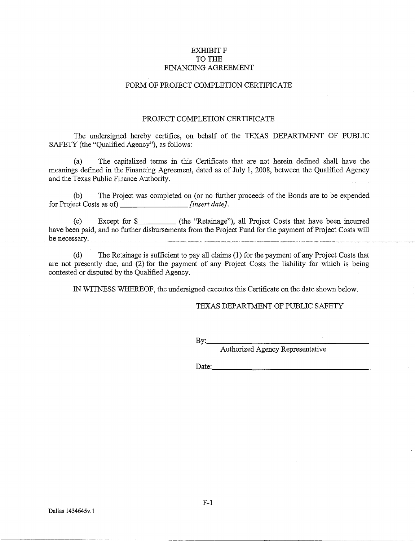## EXHIBIT F TO THE FINANCING AGREEMENT

## FORM OF PROJECT COMPLETION CERTIFICATE

## PROJECT COMPLETION CERTIFICATE

The undersigned hereby certifies, on behalf of the TEXAS DEPARTMENT OF PUBLIC SAFETY (the "Qualified Agency"), as follows:

(a) The capitalized terms in this Certificate that are not herein defined shall have the meanings defmed in the Financing Agreement, dated as of July 1, 2008, between the Qualified Agency and the Texas Public Finance Authority.

(b) The Project was completed on (or no further proceeds of the Bonds are to be expended for Project Costs as of) *[insert date]*.

(c) Except for \$ (the "Retainage"), all Project Costs that have been incurred have been paid, and no further disbursements from the Project Fund for the payment of Project Costs will  $\frac{1}{2}$  be necessary.

(d) The Retainage is sufficient to pay all claims (1) for the payment of any Project Costs that are not presently due, and (2) for the payment of any Project Costs the liability for which is being contested or disputed by the Qualified Agency.

IN WITNESS WHEREOF, the undersigned executes this Certificate on the date shown below.

## TEXAS DEPARTMENT OF PUBLIC SAFETY

By:, \_\_\_\_\_\_\_\_\_\_\_\_\_\_\_\_ \_

Authorized Agency Representative

Date:  $\frac{1}{2}$  and  $\frac{1}{2}$  and  $\frac{1}{2}$  and  $\frac{1}{2}$  and  $\frac{1}{2}$  and  $\frac{1}{2}$  and  $\frac{1}{2}$  and  $\frac{1}{2}$  and  $\frac{1}{2}$  and  $\frac{1}{2}$  and  $\frac{1}{2}$  and  $\frac{1}{2}$  and  $\frac{1}{2}$  and  $\frac{1}{2}$  and  $\frac{1}{2}$  and  $\frac{1$